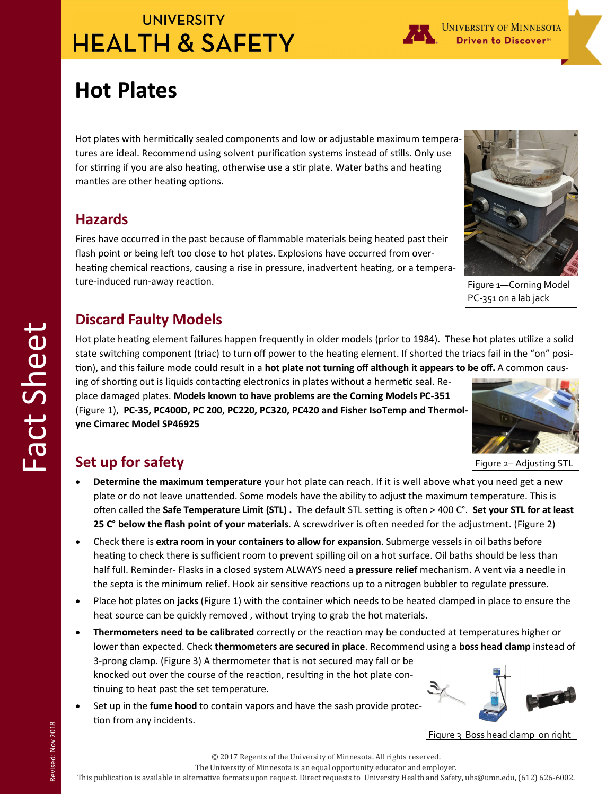# **UNIVERSITY HEALTH & SAFETY**

UNIVERSITY OF MINNESOTA **Driven to Discover**™

# **Hot Plates**

Hot plates with hermitically sealed components and low or adjustable maximum temperatures are ideal. Recommend using solvent purification systems instead of stills. Only use for stirring if you are also heating, otherwise use a stir plate. Water baths and heating mantles are other heating options.

#### **Hazards**

Fires have occurred in the past because of flammable materials being heated past their flash point or being left too close to hot plates. Explosions have occurred from overheating chemical reactions, causing a rise in pressure, inadvertent heating, or a temperature-induced run-away reaction.

### **Discard Faulty Models**

Hot plate heating element failures happen frequently in older models (prior to 1984). These hot plates utilize a solid state switching component (triac) to turn off power to the heating element. If shorted the triacs fail in the "on" position), and this failure mode could result in a **hot plate not turning off although it appears to be off.** A common caus-

ing of shorting out is liquids contacting electronics in plates without a hermetic seal. Replace damaged plates. **Models known to have problems are the Corning Models PC‐351**  (Figure 1), **PC‐35, PC400D, PC 200, PC220, PC320, PC420 and Fisher IsoTemp and Thermol‐ yne Cimarec Model SP46925** 



Figure 1—Corning Model PC‐351 on a lab jack

Figure 2– Adjusting STL

## **Set up for safety**

- **Determine the maximum temperature** your hot plate can reach. If it is well above what you need get a new plate or do not leave unattended. Some models have the ability to adjust the maximum temperature. This is often called the Safe Temperature Limit (STL) . The default STL setting is often > 400 C°. Set your STL for at least **25 C° below the flash point of your materials**. A screwdriver is often needed for the adjustment. (Figure 2)
- Check there is **extra room in your containers to allow for expansion**. Submerge vessels in oil baths before heating to check there is sufficient room to prevent spilling oil on a hot surface. Oil baths should be less than half full. Reminder- Flasks in a closed system ALWAYS need a **pressure relief** mechanism. A vent via a needle in the septa is the minimum relief. Hook air sensitive reactions up to a nitrogen bubbler to regulate pressure.
- Place hot plates on **jacks** (Figure 1) with the container which needs to be heated clamped in place to ensure the heat source can be quickly removed , without trying to grab the hot materials.
- **Thermometers need to be calibrated** correctly or the reacƟon may be conducted at temperatures higher or lower than expected. Check **thermometers are secured in place**. Recommend using a **boss head clamp** instead of 3-prong clamp. (Figure 3) A thermometer that is not secured may fall or be knocked out over the course of the reaction, resulting in the hot plate continuing to heat past the set temperature.
- Set up in the **fume hood** to contain vapors and have the sash provide protection from any incidents.



Figure 3 Boss head clamp on right

© 2017 Regents of the University of Minnesota. All rights reserved.

The University of Minnesota is an equal opportunity educator and employer.

This publication is available in alternative formats upon request. Direct requests to University Health and Safety, uhs@umn.edu, (612) 626-6002.